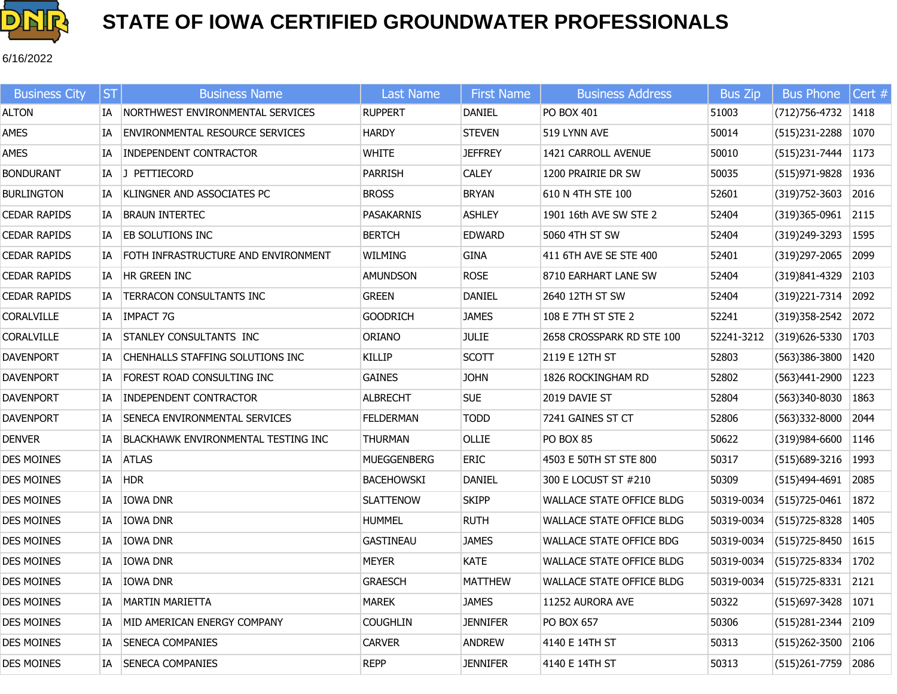

6/16/2022

| <b>Business City</b> | <b>ST</b> | <b>Business Name</b>                       | Last Name          | <b>First Name</b> | <b>Business Address</b>          | <b>Bus Zip</b> | <b>Bus Phone</b>         | Cert # |
|----------------------|-----------|--------------------------------------------|--------------------|-------------------|----------------------------------|----------------|--------------------------|--------|
| <b>ALTON</b>         |           | IA NORTHWEST ENVIRONMENTAL SERVICES        | RUPPERT            | DANIEL            | PO BOX 401                       | 51003          | $(712)756-4732$   1418   |        |
| AMES                 | IA        | <b>ENVIRONMENTAL RESOURCE SERVICES</b>     | HARDY              | <b>STEVEN</b>     | 519 LYNN AVE                     | 50014          | (515)231-2288 1070       |        |
| AMES                 | IA        | <b>INDEPENDENT CONTRACTOR</b>              | WHITE              | <b>JEFFREY</b>    | <b>1421 CARROLL AVENUE</b>       | 50010          | $(515)$ 231-7444 1173    |        |
| <b>BONDURANT</b>     |           | IA J PETTIECORD                            | Parrish            | <b>CALEY</b>      | 1200 PRAIRIE DR SW               | 50035          | (515) 971-9828 1936      |        |
| <b>BURLINGTON</b>    | IA        | KLINGNER AND ASSOCIATES PC                 | <b>BROSS</b>       | <b>BRYAN</b>      | 610 N 4TH STE 100                | 52601          | (319) 752-3603 2016      |        |
| <b>CEDAR RAPIDS</b>  | IA        | <b>BRAUN INTERTEC</b>                      | PASAKARNIS         | <b>ASHLEY</b>     | 1901 16th AVE SW STE 2           | 52404          | $(319)365-0961$ 2115     |        |
| <b>CEDAR RAPIDS</b>  | IA        | <b>EB SOLUTIONS INC</b>                    | <b>BERTCH</b>      | <b>EDWARD</b>     | 5060 4TH ST SW                   | 52404          | $(319)$ 249-3293 1595    |        |
| <b>CEDAR RAPIDS</b>  | IA        | FOTH INFRASTRUCTURE AND ENVIRONMENT        | WILMING            | <b>GINA</b>       | 411 6TH AVE SE STE 400           | 52401          | (319)297-2065            | 2099   |
| <b>CEDAR RAPIDS</b>  | IA        | <b>HR GREEN INC</b>                        | <b>AMUNDSON</b>    | <b>ROSE</b>       | 8710 EARHART LANE SW             | 52404          | (319)841-4329 2103       |        |
| <b>CEDAR RAPIDS</b>  | IA        | <b>TERRACON CONSULTANTS INC</b>            | <b>GREEN</b>       | <b>DANIEL</b>     | 2640 12TH ST SW                  | 52404          | (319) 221-7314 2092      |        |
| <b>CORALVILLE</b>    | IA        | <b>IMPACT 7G</b>                           | goodrich           | <b>JAMES</b>      | 108 E 7TH ST STE 2               | 52241          | (319) 358-2542 2072      |        |
| CORALVILLE           | IA        | STANLEY CONSULTANTS INC                    | oriano             | <b>JULIE</b>      | 2658 CROSSPARK RD STE 100        | 52241-3212     | $(319)626 - 5330$ 1703   |        |
| <b>DAVENPORT</b>     | IA        | CHENHALLS STAFFING SOLUTIONS INC           | KILLIP             | <b>SCOTT</b>      | 2119 E 12TH ST                   | 52803          | $(563)386 - 3800$   1420 |        |
| <b>DAVENPORT</b>     | IA        | FOREST ROAD CONSULTING INC                 | GAINES             | <b>JOHN</b>       | 1826 ROCKINGHAM RD               | 52802          | (563)441-2900   1223     |        |
| <b>DAVENPORT</b>     | IA        | <b>INDEPENDENT CONTRACTOR</b>              | <b>ALBRECHT</b>    | <b>SUE</b>        | 2019 DAVIE ST                    | 52804          | (563)340-8030   1863     |        |
| <b>DAVENPORT</b>     | IA        | <b>SENECA ENVIRONMENTAL SERVICES</b>       | FELDERMAN          | <b>TODD</b>       | 7241 GAINES ST CT                | 52806          | (563)332-8000            | 2044   |
| <b>DENVER</b>        | IA        | <b>BLACKHAWK ENVIRONMENTAL TESTING INC</b> | THURMAN            | OLLIE             | <b>PO BOX 85</b>                 | 50622          | $(319)984 - 6600$ 1146   |        |
| <b>DES MOINES</b>    | IA        | <b>ATLAS</b>                               | <b>MUEGGENBERG</b> | <b>ERIC</b>       | 4503 E 50TH ST STE 800           | 50317          | (515) 689-3216   1993    |        |
| <b>DES MOINES</b>    | IA        | <b>HDR</b>                                 | BACEHOWSKI         | DANIEL            | 300 E LOCUST ST #210             | 50309          | (515)494-4691 2085       |        |
| DES MOINES           | IA        | <b>IOWA DNR</b>                            | <b>SLATTENOW</b>   | <b>SKIPP</b>      | WALLACE STATE OFFICE BLDG        | 50319-0034     | $(515)$ 725-0461 1872    |        |
| <b>DES MOINES</b>    | IA        | <b>IOWA DNR</b>                            | HUMMEL             | <b>RUTH</b>       | <b>WALLACE STATE OFFICE BLDG</b> | 50319-0034     | $(515)$ 725-8328 1405    |        |
| <b>DES MOINES</b>    | IA        | <b>IOWA DNR</b>                            | <b>GASTINEAU</b>   | <b>JAMES</b>      | <b>WALLACE STATE OFFICE BDG</b>  | 50319-0034     | $(515)$ 725-8450 1615    |        |
| <b>DES MOINES</b>    | IA        | <b>IOWA DNR</b>                            | Meyer              | <b>KATE</b>       | <b>WALLACE STATE OFFICE BLDG</b> | 50319-0034     | $(515)$ 725-8334 1702    |        |
| <b>DES MOINES</b>    | IA        | <b>IOWA DNR</b>                            | GRAESCH            | <b>MATTHEW</b>    | <b>WALLACE STATE OFFICE BLDG</b> | 50319-0034     | $ (515)725-8331 2121$    |        |
| DES MOINES           | IA        | MARTIN MARIETTA                            | MAREK              | <b>JAMES</b>      | 11252 AURORA AVE                 | 50322          | (515) 697-3428   1071    |        |
| <b>DES MOINES</b>    | IA        | MID AMERICAN ENERGY COMPANY                | Coughlin           | <b>JENNIFER</b>   | PO BOX 657                       | 50306          | $(515)281 - 2344$        | 2109   |
| <b>DES MOINES</b>    | IA        | <b>SENECA COMPANIES</b>                    | <b>CARVER</b>      | <b>ANDREW</b>     | 4140 E 14TH ST                   | 50313          | $(515)262 - 3500$ 2106   |        |
| <b>DES MOINES</b>    |           | IA   SENECA COMPANIES                      | <b>REPP</b>        | <b>JENNIFER</b>   | 4140 E 14TH ST                   | 50313          | $(515)261-7759$ 2086     |        |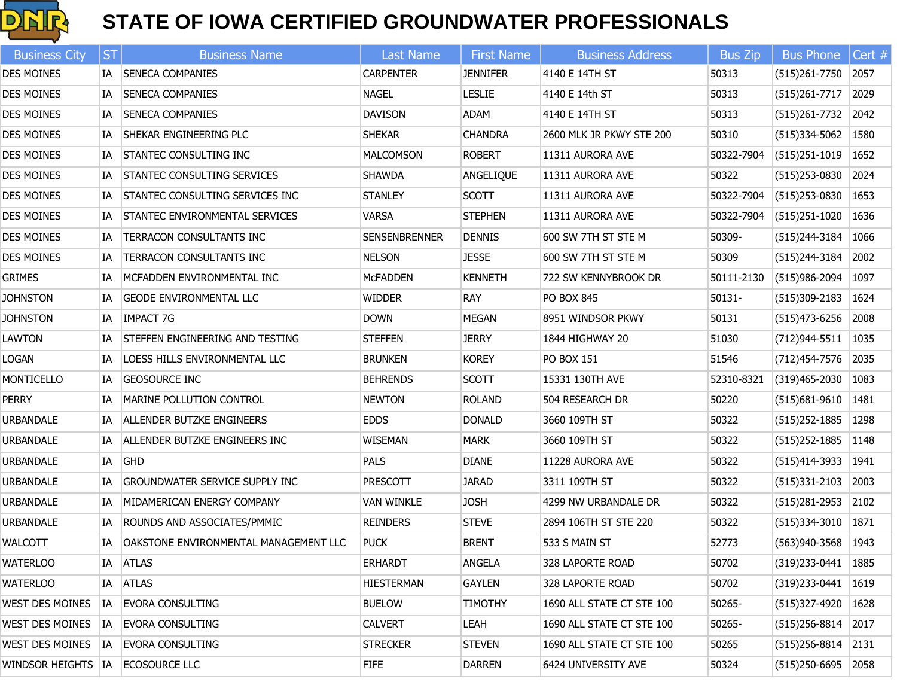

| <b>Business City</b>   | <b>ST</b> | <b>Business Name</b>                         | <b>Last Name</b>     | <b>First Name</b> | <b>Business Address</b>   | <b>Bus Zip</b> | <b>Bus Phone</b>       | Cert # |
|------------------------|-----------|----------------------------------------------|----------------------|-------------------|---------------------------|----------------|------------------------|--------|
| <b>DES MOINES</b>      |           | IA SENECA COMPANIES                          | <b>CARPENTER</b>     | <b>JENNIFER</b>   | 4140 E 14TH ST            | 50313          | $(515)261 - 7750$      | 2057   |
| <b>DES MOINES</b>      | IA        | <b>SENECA COMPANIES</b>                      | <b>NAGEL</b>         | <b>LESLIE</b>     | 4140 E 14th ST            | 50313          | $(515)261 - 7717$      | 2029   |
| <b>DES MOINES</b>      | IA        | <b>SENECA COMPANIES</b>                      | <b>DAVISON</b>       | ADAM              | 4140 E 14TH ST            | 50313          | $(515)261 - 7732$      | 2042   |
| <b>DES MOINES</b>      | IA        | <b>SHEKAR ENGINEERING PLC</b>                | <b>SHEKAR</b>        | <b>CHANDRA</b>    | 2600 MLK JR PKWY STE 200  | 50310          | $(515)334 - 5062$ 1580 |        |
| <b>DES MOINES</b>      | IA        | <b>STANTEC CONSULTING INC</b>                | <b>MALCOMSON</b>     | <b>ROBERT</b>     | 11311 AURORA AVE          | 50322-7904     | $(515)251 - 1019$      | 1652   |
| <b>DES MOINES</b>      | IA        | STANTEC CONSULTING SERVICES                  | <b>SHAWDA</b>        | ANGELIQUE         | 11311 AURORA AVE          | 50322          | $(515)$ 253-0830       | 2024   |
| <b>DES MOINES</b>      | IA        | STANTEC CONSULTING SERVICES INC              | <b>STANLEY</b>       | <b>SCOTT</b>      | 11311 AURORA AVE          | 50322-7904     | $(515)$ 253-0830       | 1653   |
| <b>DES MOINES</b>      | IA        | STANTEC ENVIRONMENTAL SERVICES               | <b>VARSA</b>         | <b>STEPHEN</b>    | 11311 AURORA AVE          | 50322-7904     | $(515)251 - 1020$      | 1636   |
| <b>DES MOINES</b>      | IA        | TERRACON CONSULTANTS INC                     | <b>SENSENBRENNER</b> | <b>DENNIS</b>     | 600 SW 7TH ST STE M       | 50309-         | (515)244-3184          | 1066   |
| <b>DES MOINES</b>      | IA        | TERRACON CONSULTANTS INC                     | <b>NELSON</b>        | <b>JESSE</b>      | 600 SW 7TH ST STE M       | 50309          | (515)244-3184          | 2002   |
| <b>GRIMES</b>          | IA        | MCFADDEN ENVIRONMENTAL INC                   | <b>MCFADDEN</b>      | <b>KENNETH</b>    | 722 SW KENNYBROOK DR      | 50111-2130     | $(515)986 - 2094$      | 1097   |
| <b>JOHNSTON</b>        | IA        | <b>GEODE ENVIRONMENTAL LLC</b>               | <b>WIDDER</b>        | <b>RAY</b>        | PO BOX 845                | $50131 -$      | $(515)309 - 2183$      | 1624   |
| <b>JOHNSTON</b>        |           | IA IMPACT 7G                                 | <b>DOWN</b>          | <b>MEGAN</b>      | 8951 WINDSOR PKWY         | 50131          | (515)473-6256          | 2008   |
| LAWTON                 | IA        | <b>STEFFEN ENGINEERING AND TESTING</b>       | <b>STEFFEN</b>       | <b>JERRY</b>      | 1844 HIGHWAY 20           | 51030          | (712)944-5511          | 1035   |
| LOGAN                  | IA        | <b>LOESS HILLS ENVIRONMENTAL LLC</b>         | <b>BRUNKEN</b>       | <b>KOREY</b>      | PO BOX 151                | 51546          | (712) 454-7576         | 2035   |
| MONTICELLO             | IA        | <b>GEOSOURCE INC</b>                         | <b>BEHRENDS</b>      | <b>SCOTT</b>      | 15331 130TH AVE           | 52310-8321     | $(319)465 - 2030$      | 1083   |
| <b>PERRY</b>           | <b>IA</b> | MARINE POLLUTION CONTROL                     | <b>NEWTON</b>        | <b>ROLAND</b>     | 504 RESEARCH DR           | 50220          | $(515)681 - 9610$      | 1481   |
| <b>URBANDALE</b>       | IA        | <b>ALLENDER BUTZKE ENGINEERS</b>             | <b>EDDS</b>          | <b>DONALD</b>     | 3660 109TH ST             | 50322          | $(515)$ 252-1885       | 1298   |
| <b>URBANDALE</b>       | IA        | ALLENDER BUTZKE ENGINEERS INC                | <b>WISEMAN</b>       | <b>MARK</b>       | 3660 109TH ST             | 50322          | $(515)$ 252-1885       | 1148   |
| URBANDALE              |           | IA GHD                                       | <b>PALS</b>          | <b>DIANE</b>      | 11228 AURORA AVE          | 50322          | (515)414-3933          | 1941   |
| URBANDALE              | IA        | <b>GROUNDWATER SERVICE SUPPLY INC</b>        | <b>PRESCOTT</b>      | <b>JARAD</b>      | 3311 109TH ST             | 50322          | $(515)331 - 2103$      | 2003   |
| URBANDALE              | IA        | MIDAMERICAN ENERGY COMPANY                   | <b>VAN WINKLE</b>    | <b>JOSH</b>       | 4299 NW URBANDALE DR      | 50322          | $(515)281 - 2953$      | 2102   |
| URBANDALE              | IA        | ROUNDS AND ASSOCIATES/PMMIC                  | <b>REINDERS</b>      | <b>STEVE</b>      | 2894 106TH ST STE 220     | 50322          | $(515)334-3010$        | 1871   |
| <b>WALCOTT</b>         | IA        | <b>OAKSTONE ENVIRONMENTAL MANAGEMENT LLC</b> | <b>PUCK</b>          | <b>BRENT</b>      | 533 S MAIN ST             | 52773          | $(563)940-3568$ 1943   |        |
| <b>WATERLOO</b>        |           | IA ATLAS                                     | <b>ERHARDT</b>       | ANGELA            | 328 LAPORTE ROAD          | 50702          | (319)233-0441          | 1885   |
| <b>WATERLOO</b>        |           | IA ATLAS                                     | HIESTERMAN           | <b>GAYLEN</b>     | 328 LAPORTE ROAD          | 50702          | (319)233-0441          | 1619   |
| WEST DES MOINES        |           | IA EVORA CONSULTING                          | <b>BUELOW</b>        | <b>TIMOTHY</b>    | 1690 ALL STATE CT STE 100 | 50265-         | (515)327-4920          | 1628   |
| <b>WEST DES MOINES</b> | IA        | <b>EVORA CONSULTING</b>                      | <b>CALVERT</b>       | LEAH              | 1690 ALL STATE CT STE 100 | 50265-         | $(515)256 - 8814$      | 2017   |
| WEST DES MOINES        | IA        | <b>EVORA CONSULTING</b>                      | <b>STRECKER</b>      | <b>STEVEN</b>     | 1690 ALL STATE CT STE 100 | 50265          | (515)256-8814          | 2131   |
| WINDSOR HEIGHTS   IA   |           | ECOSOURCE LLC                                | <b>FIFE</b>          | <b>DARREN</b>     | 6424 UNIVERSITY AVE       | 50324          | (515)250-6695          | 2058   |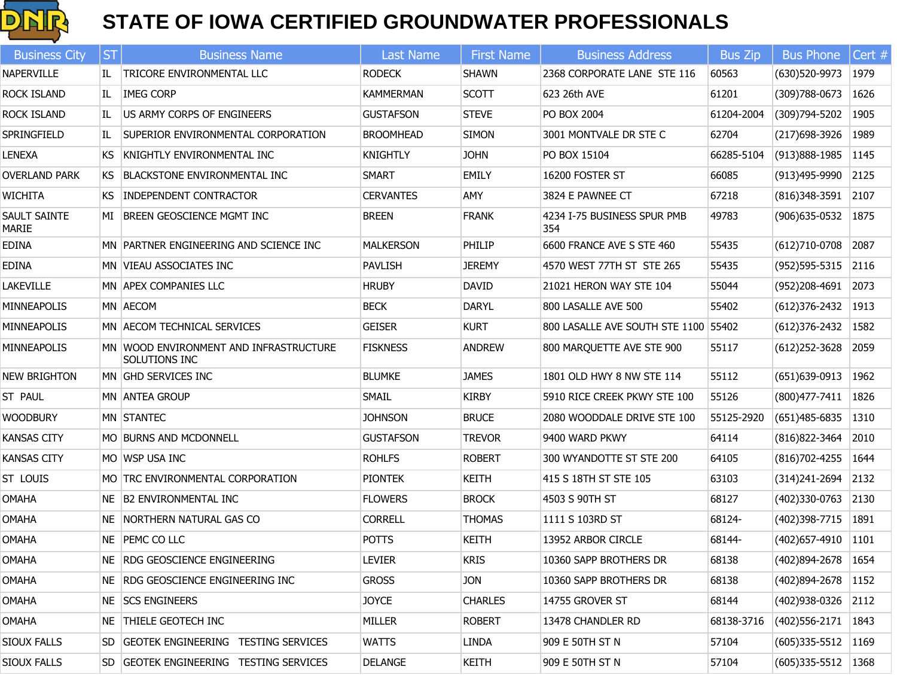

| <b>Business City</b>         | ST | <b>Business Name</b>                                    | <b>Last Name</b> | <b>First Name</b> | <b>Business Address</b>              | <b>Bus Zip</b> | <b>Bus Phone</b>         | Cert #  |
|------------------------------|----|---------------------------------------------------------|------------------|-------------------|--------------------------------------|----------------|--------------------------|---------|
| <b>NAPERVILLE</b>            | IL | TRICORE ENVIRONMENTAL LLC                               | <b>RODECK</b>    | <b>SHAWN</b>      | 2368 CORPORATE LANE STE 116          | 60563          | (630)520-9973            | 1979    |
| ROCK ISLAND                  | IL | <b>IMEG CORP</b>                                        | <b>KAMMERMAN</b> | <b>SCOTT</b>      | 623 26th AVE                         | 61201          | $(309)788 - 0673$        | 1626    |
| <b>ROCK ISLAND</b>           | IL | US ARMY CORPS OF ENGINEERS                              | <b>GUSTAFSON</b> | <b>STEVE</b>      | PO BOX 2004                          | 61204-2004     | (309)794-5202            | 1905    |
| SPRINGFIELD                  | IL | SUPERIOR ENVIRONMENTAL CORPORATION                      | <b>BROOMHEAD</b> | <b>SIMON</b>      | 3001 MONTVALE DR STE C               | 62704          | (217) 698-3926           | 1989    |
| <b>LENEXA</b>                | KS | KNIGHTLY ENVIRONMENTAL INC                              | <b>KNIGHTLY</b>  | <b>JOHN</b>       | PO BOX 15104                         | 66285-5104     | (913)888-1985            | 1145    |
| <b>OVERLAND PARK</b>         |    | KS BLACKSTONE ENVIRONMENTAL INC                         | <b>SMART</b>     | <b>EMILY</b>      | 16200 FOSTER ST                      | 66085          | (913)495-9990            | 2125    |
| <b>WICHITA</b>               |    | KS INDEPENDENT CONTRACTOR                               | <b>CERVANTES</b> | AMY               | 3824 E PAWNEE CT                     | 67218          | (816) 348-3591           | 2107    |
| SAULT SAINTE<br><b>MARIE</b> |    | MI BREEN GEOSCIENCE MGMT INC                            | <b>BREEN</b>     | <b>FRANK</b>      | 4234 I-75 BUSINESS SPUR PMB<br>354   | 49783          | (906) 635-0532           | 1875    |
| <b>EDINA</b>                 |    | MN PARTNER ENGINEERING AND SCIENCE INC                  | <b>MALKERSON</b> | PHILIP            | 6600 FRANCE AVE S STE 460            | 55435          | $(612)710-0708$          | 2087    |
| <b>EDINA</b>                 |    | MN VIEAU ASSOCIATES INC                                 | <b>PAVLISH</b>   | <b>JEREMY</b>     | 4570 WEST 77TH ST STE 265            | 55435          | $(952)595 - 5315$        | 2116    |
| LAKEVILLE                    |    | MN APEX COMPANIES LLC                                   | <b>HRUBY</b>     | <b>DAVID</b>      | 21021 HERON WAY STE 104              | 55044          | (952)208-4691            | 2073    |
| <b>MINNEAPOLIS</b>           |    | MN AECOM                                                | <b>BECK</b>      | <b>DARYL</b>      | 800 LASALLE AVE 500                  | 55402          | $(612)376 - 2432$        | 1913    |
| MINNEAPOLIS                  |    | MN AECOM TECHNICAL SERVICES                             | <b>GEISER</b>    | <b>KURT</b>       | 800 LASALLE AVE SOUTH STE 1100 55402 |                | $(612)376 - 2432$        | 1582    |
| MINNEAPOLIS                  |    | MN WOOD ENVIRONMENT AND INFRASTRUCTURE<br>SOLUTIONS INC | <b>FISKNESS</b>  | <b>ANDREW</b>     | 800 MARQUETTE AVE STE 900            | 55117          | $(612)$ 252-3628         | 2059    |
| <b>NEW BRIGHTON</b>          |    | MN GHD SERVICES INC                                     | <b>BLUMKE</b>    | <b>JAMES</b>      | 1801 OLD HWY 8 NW STE 114            | 55112          | $(651)639-0913$          | 1962    |
| ST PAUL                      |    | <b>MN ANTEA GROUP</b>                                   | <b>SMAIL</b>     | <b>KIRBY</b>      | 5910 RICE CREEK PKWY STE 100         | 55126          | (800) 477 - 7411         | 1826    |
| <b>WOODBURY</b>              |    | MN STANTEC                                              | <b>JOHNSON</b>   | <b>BRUCE</b>      | 2080 WOODDALE DRIVE STE 100          | 55125-2920     | (651) 485-6835           | $ 1310$ |
| <b>KANSAS CITY</b>           |    | MO BURNS AND MCDONNELL                                  | <b>GUSTAFSON</b> | <b>TREVOR</b>     | 9400 WARD PKWY                       | 64114          | (816) 822-3464           | 2010    |
| <b>KANSAS CITY</b>           |    | MO IWSP USA INC                                         | <b>ROHLFS</b>    | <b>ROBERT</b>     | 300 WYANDOTTE ST STE 200             | 64105          | (816)702-4255            | 1644    |
| ST LOUIS                     |    | MO TRC ENVIRONMENTAL CORPORATION                        | <b>PIONTEK</b>   | <b>KEITH</b>      | 415 S 18TH ST STE 105                | 63103          | (314)241-2694            | 2132    |
| <b>OMAHA</b>                 |    | NE B2 ENVIRONMENTAL INC                                 | <b>FLOWERS</b>   | <b>BROCK</b>      | 4503 S 90TH ST                       | 68127          | (402)330-0763 2130       |         |
| <b>OMAHA</b>                 |    | NE NORTHERN NATURAL GAS CO                              | <b>CORRELL</b>   | <b>THOMAS</b>     | 1111 S 103RD ST                      | 68124-         | (402)398-7715            | 1891    |
| <b>OMAHA</b>                 |    | NE PEMC COLLC                                           | <b>POTTS</b>     | <b>KEITH</b>      | 13952 ARBOR CIRCLE                   | 68144-         | $(402)$ 657-4910 1101    |         |
| OMAHA                        |    | NE   RDG GEOSCIENCE ENGINEERING                         | <b>LEVIER</b>    | <b>KRIS</b>       | 10360 SAPP BROTHERS DR               | 68138          | (402) 894-2678   1654    |         |
| OMAHA                        |    | NE RDG GEOSCIENCE ENGINEERING INC                       | <b>GROSS</b>     | <b>JON</b>        | 10360 SAPP BROTHERS DR               | 68138          | (402)894-2678            | 1152    |
| OMAHA                        |    | NE SCS ENGINEERS                                        | <b>JOYCE</b>     | <b>CHARLES</b>    | 14755 GROVER ST                      | 68144          | $(402)938-0326$ 2112     |         |
| OMAHA                        |    | NE THIELE GEOTECH INC                                   | MILLER           | <b>ROBERT</b>     | 13478 CHANDLER RD                    | 68138-3716     | $(402)$ 556-2171         | 1843    |
| SIOUX FALLS                  |    | SD GEOTEK ENGINEERING TESTING SERVICES                  | <b>WATTS</b>     | <b>LINDA</b>      | 909 E 50TH ST N                      | 57104          | $(605)335 - 5512$ 1169   |         |
| SIOUX FALLS                  |    | SD GEOTEK ENGINEERING TESTING SERVICES                  | <b>DELANGE</b>   | <b>KEITH</b>      | 909 E 50TH ST N                      | 57104          | $(605)335 - 5512$   1368 |         |